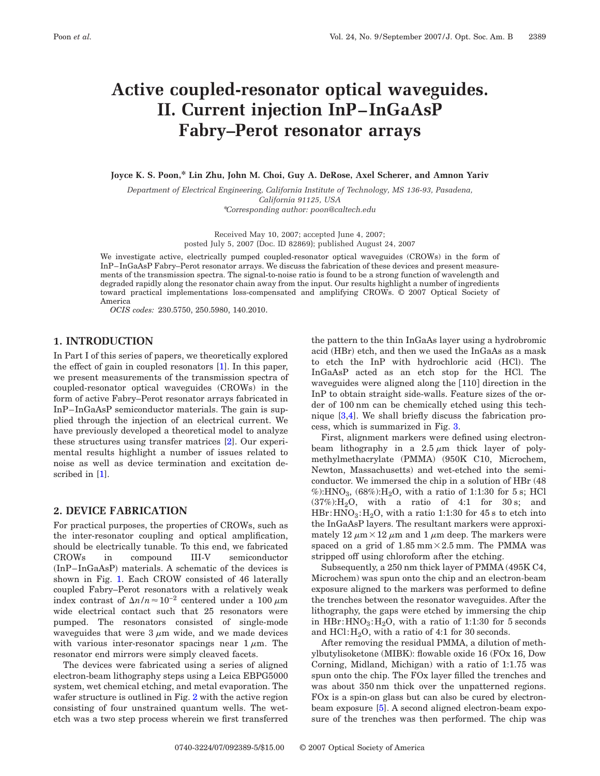# **Active coupled-resonator optical waveguides. II. Current injection InP– InGaAsP Fabry–Perot resonator arrays**

**Joyce K. S. Poon,\* Lin Zhu, John M. Choi, Guy A. DeRose, Axel Scherer, and Amnon Yariv**

*Department of Electrical Engineering, California Institute of Technology, MS 136-93, Pasadena, California 91125, USA* \**Corresponding author: poon@caltech.edu*

> Received May 10, 2007; accepted June 4, 2007; posted July 5, 2007 (Doc. ID 82869); published August 24, 2007

We investigate active, electrically pumped coupled-resonator optical waveguides (CROWs) in the form of InP–InGaAsP Fabry–Perot resonator arrays. We discuss the fabrication of these devices and present measurements of the transmission spectra. The signal-to-noise ratio is found to be a strong function of wavelength and degraded rapidly along the resonator chain away from the input. Our results highlight a number of ingredients toward practical implementations loss-compensated and amplifying CROWs. © 2007 Optical Society of America

*OCIS codes:* 230.5750, 250.5980, 140.2010.

## **1. INTRODUCTION**

In Part I of this series of papers, we theoretically explored the effect of gain in coupled resonators [\[1\]](#page-4-0). In this paper, we present measurements of the transmission spectra of coupled-resonator optical waveguides (CROWs) in the form of active Fabry–Perot resonator arrays fabricated in InP–InGaAsP semiconductor materials. The gain is supplied through the injection of an electrical current. We have previously developed a theoretical model to analyze these structures using transfer matrices [\[2\]](#page-4-1). Our experimental results highlight a number of issues related to noise as well as device termination and excitation described in [\[1\]](#page-4-0).

#### **2. DEVICE FABRICATION**

For practical purposes, the properties of CROWs, such as the inter-resonator coupling and optical amplification, should be electrically tunable. To this end, we fabricated CROWs in compound III-V semiconductor (InP-InGaAsP) materials. A schematic of the devices is shown in Fig. [1.](#page-1-0) Each CROW consisted of 46 laterally coupled Fabry–Perot resonators with a relatively weak index contrast of  $\Delta n/n \approx 10^{-2}$  centered under a 100  $\mu$ m wide electrical contact such that 25 resonators were pumped. The resonators consisted of single-mode waveguides that were  $3 \mu m$  wide, and we made devices with various inter-resonator spacings near  $1 \mu$ m. The resonator end mirrors were simply cleaved facets.

The devices were fabricated using a series of aligned electron-beam lithography steps using a Leica EBPG5000 system, wet chemical etching, and metal evaporation. The wafer structure is outlined in Fig. [2](#page-1-1) with the active region consisting of four unstrained quantum wells. The wetetch was a two step process wherein we first transferred

the pattern to the thin InGaAs layer using a hydrobromic acid (HBr) etch, and then we used the InGaAs as a mask to etch the InP with hydrochloric acid (HCl). The InGaAsP acted as an etch stop for the HCl. The waveguides were aligned along the [110] direction in the InP to obtain straight side-walls. Feature sizes of the order of 100 nm can be chemically etched using this technique [\[3,](#page-4-2)[4\]](#page-4-0). We shall briefly discuss the fabrication process, which is summarized in Fig. [3.](#page-1-2)

First, alignment markers were defined using electronbeam lithography in a  $2.5 \mu m$  thick layer of polymethylmethacrylate (PMMA) (950K C10, Microchem, Newton, Massachusetts) and wet-etched into the semiconductor. We immersed the chip in a solution of HBr (48 %):HNO<sub>3</sub>,  $(68\%)$ :H<sub>2</sub>O, with a ratio of 1:1:30 for 5 s; HCl  $(37\%):\mathrm{H}_2\mathrm{O}$ , with a ratio of 4:1 for 30 s; and  $HBr: HNO<sub>3</sub>: H<sub>2</sub>O$ , with a ratio 1:1:30 for 45 s to etch into the InGaAsP layers. The resultant markers were approximately 12  $\mu$ m $\times$  12  $\mu$ m and 1  $\mu$ m deep. The markers were spaced on a grid of  $1.85 \text{ mm} \times 2.5 \text{ mm}$ . The PMMA was stripped off using chloroform after the etching.

Subsequently, a 250 nm thick layer of PMMA (495K C4, Microchem) was spun onto the chip and an electron-beam exposure aligned to the markers was performed to define the trenches between the resonator waveguides. After the lithography, the gaps were etched by immersing the chip in HBr:  $HNO<sub>3</sub>:H<sub>2</sub>O$ , with a ratio of 1:1:30 for 5 seconds and  $HCl:H_2O$ , with a ratio of 4:1 for 30 seconds.

After removing the residual PMMA, a dilution of methylbutylisoketone (MIBK): flowable oxide 16 (FOx 16, Dow Corning, Midland, Michigan) with a ratio of 1:1.75 was spun onto the chip. The FOx layer filled the trenches and was about 350 nm thick over the unpatterned regions. FOx is a spin-on glass but can also be cured by electronbeam exposure [\[5\]](#page-4-3). A second aligned electron-beam exposure of the trenches was then performed. The chip was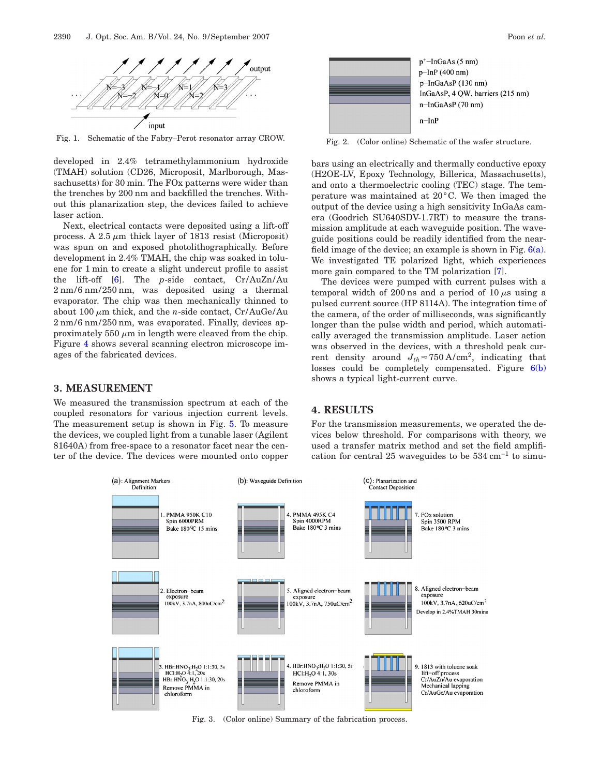<span id="page-1-0"></span>

Fig. 1. Schematic of the Fabry–Perot resonator array CROW. Fig. 2. (Color online) Schematic of the wafer structure.

developed in 2.4% tetramethylammonium hydroxide (TMAH) solution (CD26, Microposit, Marlborough, Massachusetts) for 30 min. The FOx patterns were wider than the trenches by 200 nm and backfilled the trenches. Without this planarization step, the devices failed to achieve laser action.

Next, electrical contacts were deposited using a lift-off process. A  $2.5 \mu m$  thick layer of 1813 resist (Microposit) was spun on and exposed photolithographically. Before development in 2.4% TMAH, the chip was soaked in toluene for 1 min to create a slight undercut profile to assist the lift-off [\[6\]](#page-4-4). The *p*-side contact, Cr/AuZn/Au 2 nm/6 nm/250 nm, was deposited using a thermal evaporator. The chip was then mechanically thinned to about 100  $\mu$ m thick, and the *n*-side contact, Cr/AuGe/Au 2 nm/6 nm/250 nm, was evaporated. Finally, devices approximately 550  $\mu$ m in length were cleaved from the chip. Figure [4](#page-2-0) shows several scanning electron microscope images of the fabricated devices.

## **3. MEASUREMENT**

We measured the transmission spectrum at each of the coupled resonators for various injection current levels. The measurement setup is shown in Fig. [5.](#page-2-1) To measure the devices, we coupled light from a tunable laser (Agilent 81640A) from free-space to a resonator facet near the center of the device. The devices were mounted onto copper

<span id="page-1-1"></span>

bars using an electrically and thermally conductive epoxy (H2OE-LV, Epoxy Technology, Billerica, Massachusetts), and onto a thermoelectric cooling (TEC) stage. The temperature was maintained at 20°C. We then imaged the output of the device using a high sensitivity InGaAs camera (Goodrich SU640SDV-1.7RT) to measure the transmission amplitude at each waveguide position. The waveguide positions could be readily identified from the nearfield image of the device; an example is shown in Fig.  $6(a)$ . We investigated TE polarized light, which experiences more gain compared to the TM polarization [\[7\]](#page-4-5).

The devices were pumped with current pulses with a temporal width of 200 ns and a period of 10  $\mu$ s using a pulsed current source (HP 8114A). The integration time of the camera, of the order of milliseconds, was significantly longer than the pulse width and period, which automatically averaged the transmission amplitude. Laser action was observed in the devices, with a threshold peak current density around  $J_{th} \approx 750 \text{ A/cm}^2$ , indicating that losses could be completely compensated. Figure [6\(b\)](#page-2-2) shows a typical light-current curve.

## **4. RESULTS**

For the transmission measurements, we operated the devices below threshold. For comparisons with theory, we used a transfer matrix method and set the field amplification for central 25 waveguides to be  $534 \text{ cm}^{-1}$  to simu-

<span id="page-1-2"></span>

Fig. 3. (Color online) Summary of the fabrication process.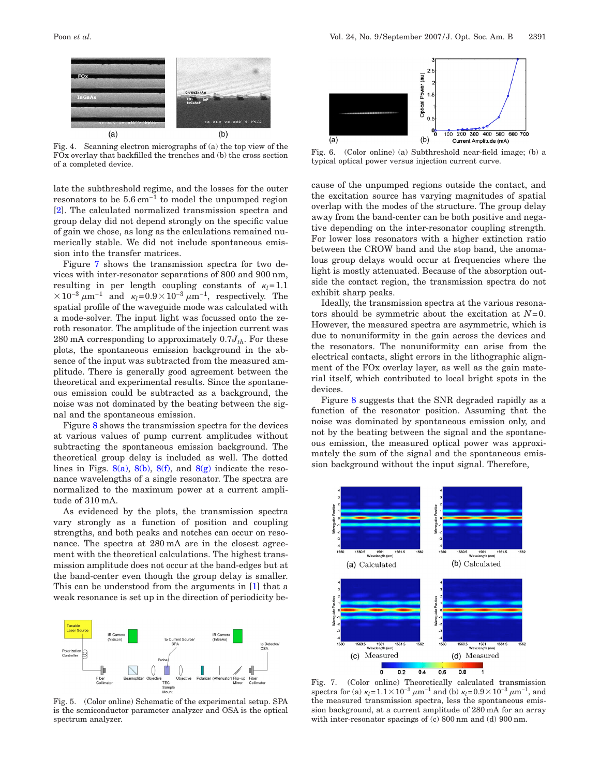<span id="page-2-0"></span>

Fig. 4. Scanning electron micrographs of (a) the top view of the FOx overlay that backfilled the trenches and (b) the cross section of a completed device.

late the subthreshold regime, and the losses for the outer resonators to be  $5.6 \text{ cm}^{-1}$  to model the unpumped region [\[2\]](#page-4-1). The calculated normalized transmission spectra and group delay did not depend strongly on the specific value of gain we chose, as long as the calculations remained numerically stable. We did not include spontaneous emission into the transfer matrices.

Figure [7](#page-2-3) shows the transmission spectra for two devices with inter-resonator separations of 800 and 900 nm, resulting in per length coupling constants of  $\kappa_l=1.1$  $\times 10^{-3} \mu$ m<sup>-1</sup> and  $\kappa_l$ =0.9 × 10<sup>-3</sup>  $\mu$ m<sup>-1</sup>, respectively. The spatial profile of the waveguide mode was calculated with a mode-solver. The input light was focussed onto the zeroth resonator. The amplitude of the injection current was 280 mA corresponding to approximately  $0.7J_{th}$ . For these plots, the spontaneous emission background in the absence of the input was subtracted from the measured amplitude. There is generally good agreement between the theoretical and experimental results. Since the spontaneous emission could be subtracted as a background, the noise was not dominated by the beating between the signal and the spontaneous emission.

Figure [8](#page-3-0) shows the transmission spectra for the devices at various values of pump current amplitudes without subtracting the spontaneous emission background. The theoretical group delay is included as well. The dotted lines in Figs. [8\(a\),](#page-3-0) [8\(b\),](#page-3-0) [8\(f\),](#page-3-0) and  $8(g)$  indicate the resonance wavelengths of a single resonator. The spectra are normalized to the maximum power at a current amplitude of 310 mA.

As evidenced by the plots, the transmission spectra vary strongly as a function of position and coupling strengths, and both peaks and notches can occur on resonance. The spectra at 280 mA are in the closest agreement with the theoretical calculations. The highest transmission amplitude does not occur at the band-edges but at the band-center even though the group delay is smaller. This can be understood from the arguments in [\[1\]](#page-4-0) that a weak resonance is set up in the direction of periodicity be-

<span id="page-2-1"></span>

Fig. 5. (Color online) Schematic of the experimental setup. SPA is the semiconductor parameter analyzer and OSA is the optical spectrum analyzer.

<span id="page-2-2"></span>

Fig. 6. (Color online) (a) Subthreshold near-field image; (b) a typical optical power versus injection current curve.

cause of the unpumped regions outside the contact, and the excitation source has varying magnitudes of spatial overlap with the modes of the structure. The group delay away from the band-center can be both positive and negative depending on the inter-resonator coupling strength. For lower loss resonators with a higher extinction ratio between the CROW band and the stop band, the anomalous group delays would occur at frequencies where the light is mostly attenuated. Because of the absorption outside the contact region, the transmission spectra do not exhibit sharp peaks.

Ideally, the transmission spectra at the various resonators should be symmetric about the excitation at *N*=0. However, the measured spectra are asymmetric, which is due to nonuniformity in the gain across the devices and the resonators. The nonuniformity can arise from the electrical contacts, slight errors in the lithographic alignment of the FOx overlay layer, as well as the gain material itself, which contributed to local bright spots in the devices.

Figure [8](#page-3-0) suggests that the SNR degraded rapidly as a function of the resonator position. Assuming that the noise was dominated by spontaneous emission only, and not by the beating between the signal and the spontaneous emission, the measured optical power was approximately the sum of the signal and the spontaneous emission background without the input signal. Therefore,

<span id="page-2-3"></span>

Fig. 7. (Color online) Theoretically calculated transmission spectra for (a)  $\kappa_l = 1.1 \times 10^{-3} \mu m^{-1}$  and (b)  $\kappa_l = 0.9 \times 10^{-3} \mu m^{-1}$ , and the measured transmission spectra, less the spontaneous emission background, at a current amplitude of 280 mA for an array with inter-resonator spacings of (c) 800 nm and (d) 900 nm.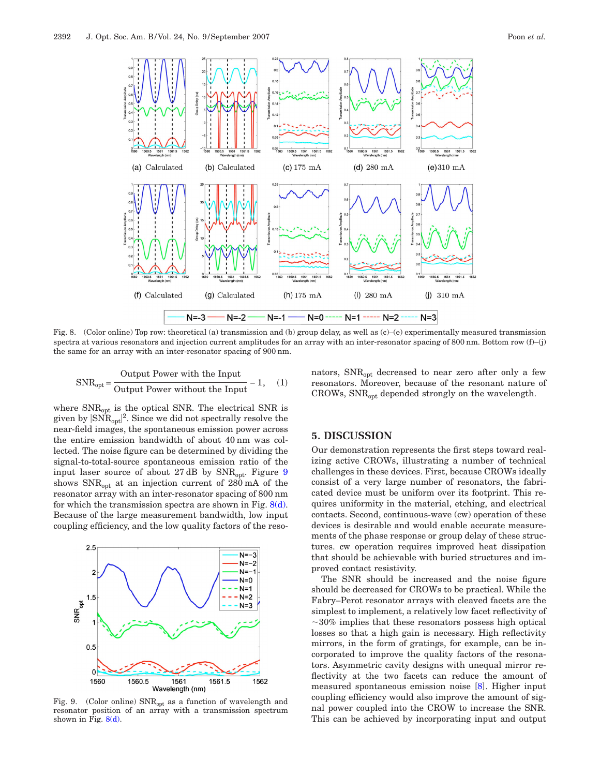<span id="page-3-0"></span>

Fig. 8. (Color online) Top row: theoretical (a) transmission and (b) group delay, as well as (c)–(e) experimentally measured transmission spectra at various resonators and injection current amplitudes for an array with an inter-resonator spacing of 800 nm. Bottom row  $(f)$ – $(j)$ the same for an array with an inter-resonator spacing of 900 nm.

$$
SNR_{opt} = \frac{Output\ Power\ with\ the\ Input}{Output\ Power\ without\ the\ Input} - 1,\quad (1)
$$

where  $SNR_{opt}$  is the optical SNR. The electrical SNR is given by  $|{\rm SNR}_{\rm opt}|^2$ . Since we did not spectrally resolve the near-field images, the spontaneous emission power across the entire emission bandwidth of about 40 nm was collected. The noise figure can be determined by dividing the signal-to-total-source spontaneous emission ratio of the input laser source of about 27 dB by  $SNR_{\text{out}}$ . Figure [9](#page-3-1) shows  $SNR_{opt}$  at an injection current of 280 mA of the resonator array with an inter-resonator spacing of 800 nm for which the transmission spectra are shown in Fig.  $8(d)$ . Because of the large measurement bandwidth, low input coupling efficiency, and the low quality factors of the reso-

<span id="page-3-1"></span>

Fig. 9. (Color online)  $SNR_{opt}$  as a function of wavelength and resonator position of an array with a transmission spectrum shown in Fig.  $8(d)$ .

nators,  $SNR_{opt}$  decreased to near zero after only a few resonators. Moreover, because of the resonant nature of  $CROWs$ ,  $SNR<sub>opt</sub>$  depended strongly on the wavelength.

## **5. DISCUSSION**

Our demonstration represents the first steps toward realizing active CROWs, illustrating a number of technical challenges in these devices. First, because CROWs ideally consist of a very large number of resonators, the fabricated device must be uniform over its footprint. This requires uniformity in the material, etching, and electrical contacts. Second, continuous-wave (cw) operation of these devices is desirable and would enable accurate measurements of the phase response or group delay of these structures. cw operation requires improved heat dissipation that should be achievable with buried structures and improved contact resistivity.

The SNR should be increased and the noise figure should be decreased for CROWs to be practical. While the Fabry–Perot resonator arrays with cleaved facets are the simplest to implement, a relatively low facet reflectivity of  $\sim$ 30% implies that these resonators possess high optical losses so that a high gain is necessary. High reflectivity mirrors, in the form of gratings, for example, can be incorporated to improve the quality factors of the resonators. Asymmetric cavity designs with unequal mirror reflectivity at the two facets can reduce the amount of measured spontaneous emission noise [\[8\]](#page-4-6). Higher input coupling efficiency would also improve the amount of signal power coupled into the CROW to increase the SNR. This can be achieved by incorporating input and output